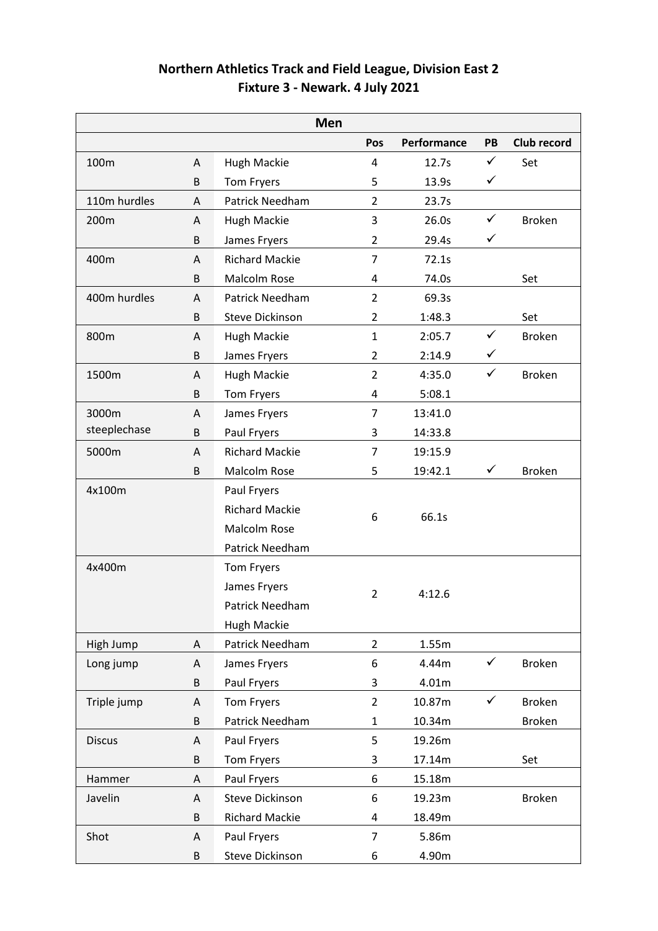| Northern Athletics Track and Field League, Division East 2 |  |
|------------------------------------------------------------|--|
| Fixture 3 - Newark. 4 July 2021                            |  |

|               |         | Men                    |                |             |              |               |
|---------------|---------|------------------------|----------------|-------------|--------------|---------------|
|               |         |                        | Pos            | Performance | PB           | Club record   |
| 100m          | A       | Hugh Mackie            | 4              | 12.7s       | $\checkmark$ | Set           |
|               | $\sf B$ | Tom Fryers             | 5              | 13.9s       | $\checkmark$ |               |
| 110m hurdles  | Α       | Patrick Needham        | $\overline{2}$ | 23.7s       |              |               |
| 200m          | Α       | <b>Hugh Mackie</b>     | 3              | 26.0s       | $\checkmark$ | <b>Broken</b> |
|               | B       | James Fryers           | $\overline{2}$ | 29.4s       | ✓            |               |
| 400m          | A       | <b>Richard Mackie</b>  | $\overline{7}$ | 72.1s       |              |               |
|               | B       | Malcolm Rose           | 4              | 74.0s       |              | Set           |
| 400m hurdles  | A       | Patrick Needham        | $\overline{2}$ | 69.3s       |              |               |
|               | B       | <b>Steve Dickinson</b> | 2              | 1:48.3      |              | Set           |
| 800m          | Α       | <b>Hugh Mackie</b>     | $\mathbf{1}$   | 2:05.7      | $\checkmark$ | <b>Broken</b> |
|               | B       | James Fryers           | $\overline{2}$ | 2:14.9      | $\checkmark$ |               |
| 1500m         | Α       | Hugh Mackie            | $\overline{2}$ | 4:35.0      | $\checkmark$ | <b>Broken</b> |
|               | B       | Tom Fryers             | 4              | 5:08.1      |              |               |
| 3000m         | A       | James Fryers           | 7              | 13:41.0     |              |               |
| steeplechase  | B       | Paul Fryers            | 3              | 14:33.8     |              |               |
| 5000m         | A       | <b>Richard Mackie</b>  | 7              | 19:15.9     |              |               |
|               | B       | Malcolm Rose           | 5              | 19:42.1     | $\checkmark$ | <b>Broken</b> |
| 4x100m        |         | Paul Fryers            |                |             |              |               |
|               |         | <b>Richard Mackie</b>  | 6              |             |              |               |
|               |         | Malcolm Rose           |                | 66.1s       |              |               |
|               |         | Patrick Needham        |                |             |              |               |
| 4x400m        |         | Tom Fryers             |                |             |              |               |
|               |         | James Fryers           | $\overline{2}$ | 4:12.6      |              |               |
|               |         | Patrick Needham        |                |             |              |               |
|               |         | <b>Hugh Mackie</b>     |                |             |              |               |
| High Jump     | A       | Patrick Needham        | $\overline{2}$ | 1.55m       |              |               |
| Long jump     | A       | James Fryers           | 6              | 4.44m       | $\checkmark$ | <b>Broken</b> |
|               | B       | Paul Fryers            | 3              | 4.01m       |              |               |
| Triple jump   | A       | Tom Fryers             | $\overline{2}$ | 10.87m      | $\checkmark$ | <b>Broken</b> |
|               | B       | Patrick Needham        | $\mathbf{1}$   | 10.34m      |              | <b>Broken</b> |
| <b>Discus</b> | Α       | Paul Fryers            | 5              | 19.26m      |              |               |
|               | B       | Tom Fryers             | 3              | 17.14m      |              | Set           |
| Hammer        | Α       | Paul Fryers            | 6              | 15.18m      |              |               |
| Javelin       | A       | <b>Steve Dickinson</b> | 6              | 19.23m      |              | <b>Broken</b> |
|               | B       | <b>Richard Mackie</b>  | 4              | 18.49m      |              |               |
| Shot          | A       | Paul Fryers            | 7              | 5.86m       |              |               |
|               | B       | Steve Dickinson        | 6              | 4.90m       |              |               |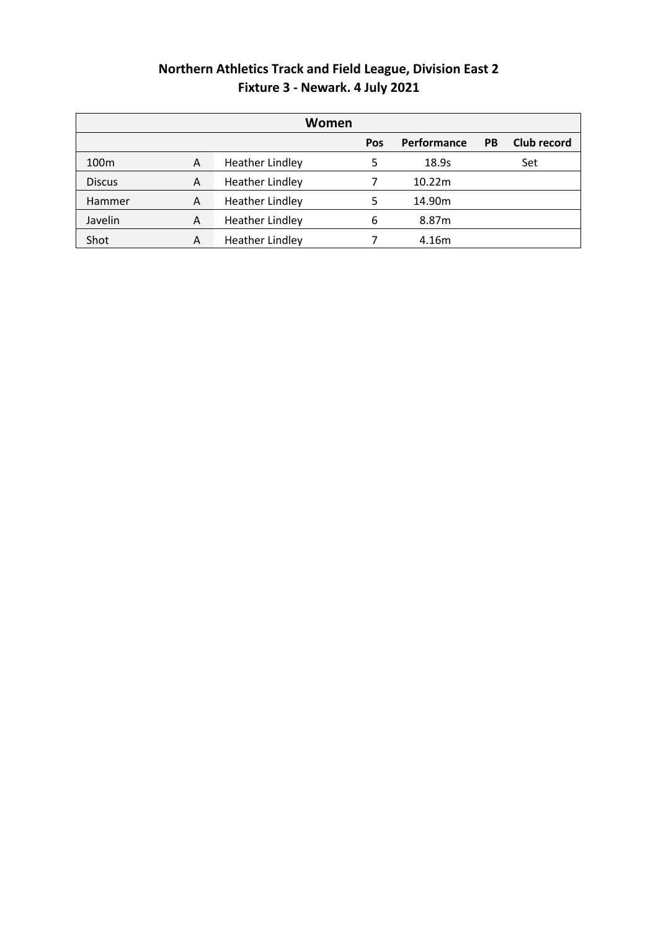## **Northern Athletics Track and Field League, Division East 2 Fixture 3 - Newark. 4 July 2021**

| Women            |   |                        |     |             |           |             |
|------------------|---|------------------------|-----|-------------|-----------|-------------|
|                  |   |                        | Pos | Performance | <b>PB</b> | Club record |
| 100 <sub>m</sub> | A | <b>Heather Lindley</b> | 5   | 18.9s       |           | Set         |
| <b>Discus</b>    | A | <b>Heather Lindley</b> |     | 10.22m      |           |             |
| Hammer           | A | <b>Heather Lindley</b> | 5   | 14.90m      |           |             |
| Javelin          | A | <b>Heather Lindley</b> | 6   | 8.87m       |           |             |
| Shot             | A | <b>Heather Lindley</b> |     | 4.16m       |           |             |